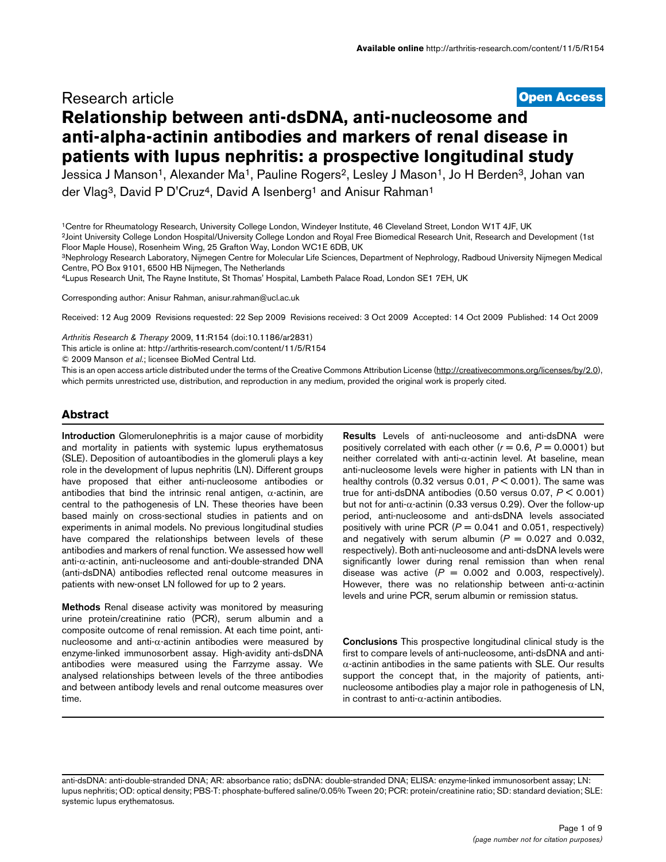# **[Open Access](http://www.biomedcentral.com/info/about/charter/)** Research article **Relationship between anti-dsDNA, anti-nucleosome and anti-alpha-actinin antibodies and markers of renal disease in patients with lupus nephritis: a prospective longitudinal study**

Jessica J Manson<sup>1</sup>, Alexander Ma<sup>1</sup>, Pauline Rogers<sup>2</sup>, Lesley J Mason<sup>1</sup>, Jo H Berden<sup>3</sup>, Johan van der Vlag<sup>3</sup>, David P D'Cruz<sup>4</sup>, David A Isenberg<sup>1</sup> and Anisur Rahman<sup>1</sup>

2Joint University College London Hospital/University College London and Royal Free Biomedical Research Unit, Research and Development (1st Floor Maple House), Rosenheim Wing, 25 Grafton Way, London WC1E 6DB, UK

3Nephrology Research Laboratory, Nijmegen Centre for Molecular Life Sciences, Department of Nephrology, Radboud University Nijmegen Medical Centre, PO Box 9101, 6500 HB Nijmegen, The Netherlands

4Lupus Research Unit, The Rayne Institute, St Thomas' Hospital, Lambeth Palace Road, London SE1 7EH, UK

Corresponding author: Anisur Rahman, anisur.rahman@ucl.ac.u[k](http://www.ncbi.nlm.nih.gov/entrez/query.fcgi?cmd=Retrieve&db=PubMed&dopt=Abstract&list_uids=19828047)

Received: 12 Aug 2009 Revisions requested: 22 Sep 2009 Revisions received: 3 Oct 2009 Accepted: 14 Oct 2009 Published: 14 Oct 2009

*Arthritis Research & Therapy* 2009, **11**:R154 (doi:10.1186/ar2831)

[This article is online at: http://arthritis-research.com/content/11/5/R154](http://arthritis-research.com/content/11/5/R154)

© 2009 Manson *et al*.; licensee BioMed Central Ltd.

This is an open access article distributed under the terms of the Creative Commons Attribution License [\(http://creativecommons.org/licenses/by/2.0\)](http://creativecommons.org/licenses/by/2.0), which permits unrestricted use, distribution, and reproduction in any medium, provided the original work is properly cited.

## **Abstract**

**Introduction** Glomerulonephritis is a major cause of morbidity and mortality in patients with systemic lupus erythematosus (SLE). Deposition of autoantibodies in the glomeruli plays a key role in the development of lupus nephritis (LN). Different groups have proposed that either anti-nucleosome antibodies or antibodies that bind the intrinsic renal antigen,  $\alpha$ -actinin, are central to the pathogenesis of LN. These theories have been based mainly on cross-sectional studies in patients and on experiments in animal models. No previous longitudinal studies have compared the relationships between levels of these antibodies and markers of renal function. We assessed how well anti-α-actinin, anti-nucleosome and anti-double-stranded DNA (anti-dsDNA) antibodies reflected renal outcome measures in patients with new-onset LN followed for up to 2 years.

**Methods** Renal disease activity was monitored by measuring urine protein/creatinine ratio (PCR), serum albumin and a composite outcome of renal remission. At each time point, antinucleosome and anti-α-actinin antibodies were measured by enzyme-linked immunosorbent assay. High-avidity anti-dsDNA antibodies were measured using the Farrzyme assay. We analysed relationships between levels of the three antibodies and between antibody levels and renal outcome measures over time.

**Results** Levels of anti-nucleosome and anti-dsDNA were positively correlated with each other  $(r = 0.6, P = 0.0001)$  but neither correlated with anti-α-actinin level. At baseline, mean anti-nucleosome levels were higher in patients with LN than in healthy controls  $(0.32 \text{ versus } 0.01, P \leq 0.001)$ . The same was true for anti-dsDNA antibodies (0.50 versus 0.07, *P* < 0.001) but not for anti-α-actinin (0.33 versus 0.29). Over the follow-up period, anti-nucleosome and anti-dsDNA levels associated positively with urine PCR  $(P = 0.041$  and 0.051, respectively) and negatively with serum albumin  $(P = 0.027$  and 0.032, respectively). Both anti-nucleosome and anti-dsDNA levels were significantly lower during renal remission than when renal disease was active  $(P = 0.002$  and 0.003, respectively). However, there was no relationship between anti- $\alpha$ -actinin levels and urine PCR, serum albumin or remission status.

**Conclusions** This prospective longitudinal clinical study is the first to compare levels of anti-nucleosome, anti-dsDNA and anti- $\alpha$ -actinin antibodies in the same patients with SLE. Our results support the concept that, in the majority of patients, antinucleosome antibodies play a major role in pathogenesis of LN, in contrast to anti- $\alpha$ -actinin antibodies.

anti-dsDNA: anti-double-stranded DNA; AR: absorbance ratio; dsDNA: double-stranded DNA; ELISA: enzyme-linked immunosorbent assay; LN: lupus nephritis; OD: optical density; PBS-T: phosphate-buffered saline/0.05% Tween 20; PCR: protein/creatinine ratio; SD: standard deviation; SLE: systemic lupus erythematosus.

<sup>1</sup>Centre for Rheumatology Research, University College London, Windeyer Institute, 46 Cleveland Street, London W1T 4JF, UK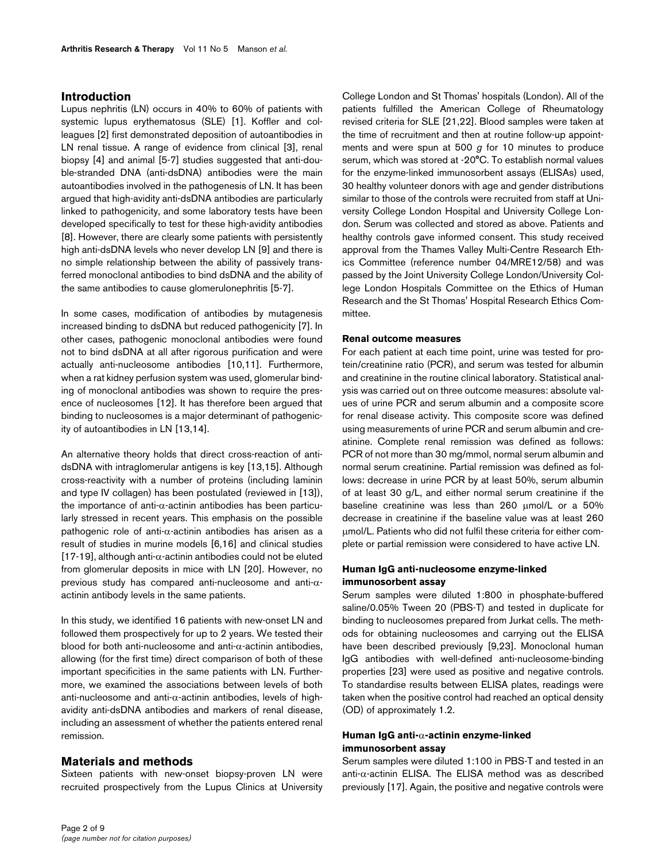# **Introduction**

Lupus nephritis (LN) occurs in 40% to 60% of patients with systemic lupus erythematosus (SLE) [1]. Koffler and colleagues [2] first demonstrated deposition of autoantibodies in LN renal tissue. A range of evidence from clinical [3], renal biopsy [4] and animal [5-7] studies suggested that anti-double-stranded DNA (anti-dsDNA) antibodies were the main autoantibodies involved in the pathogenesis of LN. It has been argued that high-avidity anti-dsDNA antibodies are particularly linked to pathogenicity, and some laboratory tests have been developed specifically to test for these high-avidity antibodies [8]. However, there are clearly some patients with persistently high anti-dsDNA levels who never develop LN [9] and there is no simple relationship between the ability of passively transferred monoclonal antibodies to bind dsDNA and the ability of the same antibodies to cause glomerulonephritis [5-7].

In some cases, modification of antibodies by mutagenesis increased binding to dsDNA but reduced pathogenicity [7]. In other cases, pathogenic monoclonal antibodies were found not to bind dsDNA at all after rigorous purification and were actually anti-nucleosome antibodies [10,11]. Furthermore, when a rat kidney perfusion system was used, glomerular binding of monoclonal antibodies was shown to require the presence of nucleosomes [12]. It has therefore been argued that binding to nucleosomes is a major determinant of pathogenicity of autoantibodies in LN [13,14].

An alternative theory holds that direct cross-reaction of antidsDNA with intraglomerular antigens is key [13,15]. Although cross-reactivity with a number of proteins (including laminin and type IV collagen) has been postulated (reviewed in [13]), the importance of anti- $α$ -actinin antibodies has been particularly stressed in recent years. This emphasis on the possible pathogenic role of anti- $\alpha$ -actinin antibodies has arisen as a result of studies in murine models [6,16] and clinical studies [17-19], although anti- $\alpha$ -actinin antibodies could not be eluted from glomerular deposits in mice with LN [20]. However, no previous study has compared anti-nucleosome and anti-αactinin antibody levels in the same patients.

In this study, we identified 16 patients with new-onset LN and followed them prospectively for up to 2 years. We tested their blood for both anti-nucleosome and anti- $\alpha$ -actinin antibodies, allowing (for the first time) direct comparison of both of these important specificities in the same patients with LN. Furthermore, we examined the associations between levels of both anti-nucleosome and anti-α-actinin antibodies, levels of highavidity anti-dsDNA antibodies and markers of renal disease, including an assessment of whether the patients entered renal remission.

# **Materials and methods**

Sixteen patients with new-onset biopsy-proven LN were recruited prospectively from the Lupus Clinics at University College London and St Thomas' hospitals (London). All of the patients fulfilled the American College of Rheumatology revised criteria for SLE [21,22]. Blood samples were taken at the time of recruitment and then at routine follow-up appointments and were spun at 500 *g* for 10 minutes to produce serum, which was stored at -20°C. To establish normal values for the enzyme-linked immunosorbent assays (ELISAs) used, 30 healthy volunteer donors with age and gender distributions similar to those of the controls were recruited from staff at University College London Hospital and University College London. Serum was collected and stored as above. Patients and healthy controls gave informed consent. This study received approval from the Thames Valley Multi-Centre Research Ethics Committee (reference number 04/MRE12/58) and was passed by the Joint University College London/University College London Hospitals Committee on the Ethics of Human Research and the St Thomas' Hospital Research Ethics Committee.

## **Renal outcome measures**

For each patient at each time point, urine was tested for protein/creatinine ratio (PCR), and serum was tested for albumin and creatinine in the routine clinical laboratory. Statistical analysis was carried out on three outcome measures: absolute values of urine PCR and serum albumin and a composite score for renal disease activity. This composite score was defined using measurements of urine PCR and serum albumin and creatinine. Complete renal remission was defined as follows: PCR of not more than 30 mg/mmol, normal serum albumin and normal serum creatinine. Partial remission was defined as follows: decrease in urine PCR by at least 50%, serum albumin of at least 30 g/L, and either normal serum creatinine if the baseline creatinine was less than 260 μmol/L or a 50% decrease in creatinine if the baseline value was at least 260 μmol/L. Patients who did not fulfil these criteria for either complete or partial remission were considered to have active LN.

## **Human IgG anti-nucleosome enzyme-linked immunosorbent assay**

Serum samples were diluted 1:800 in phosphate-buffered saline/0.05% Tween 20 (PBS-T) and tested in duplicate for binding to nucleosomes prepared from Jurkat cells. The methods for obtaining nucleosomes and carrying out the ELISA have been described previously [9,23]. Monoclonal human IgG antibodies with well-defined anti-nucleosome-binding properties [23] were used as positive and negative controls. To standardise results between ELISA plates, readings were taken when the positive control had reached an optical density (OD) of approximately 1.2.

# **Human IgG anti-**α**-actinin enzyme-linked immunosorbent assay**

Serum samples were diluted 1:100 in PBS-T and tested in an anti-α-actinin ELISA. The ELISA method was as described previously [17]. Again, the positive and negative controls were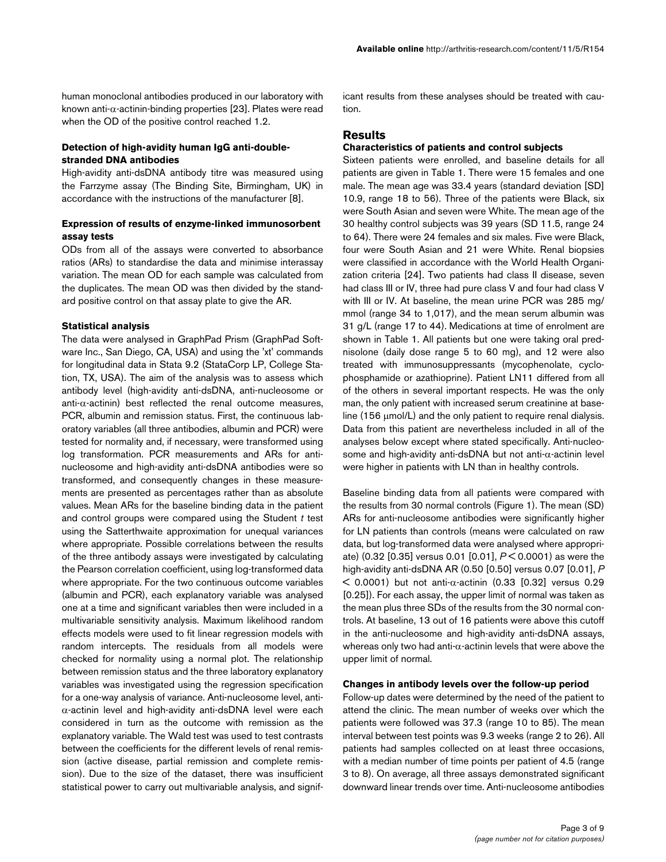human monoclonal antibodies produced in our laboratory with known anti-α-actinin-binding properties [23]. Plates were read when the OD of the positive control reached 1.2.

## **Detection of high-avidity human IgG anti-doublestranded DNA antibodies**

High-avidity anti-dsDNA antibody titre was measured using the Farrzyme assay (The Binding Site, Birmingham, UK) in accordance with the instructions of the manufacturer [8].

# **Expression of results of enzyme-linked immunosorbent assay tests**

ODs from all of the assays were converted to absorbance ratios (ARs) to standardise the data and minimise interassay variation. The mean OD for each sample was calculated from the duplicates. The mean OD was then divided by the standard positive control on that assay plate to give the AR.

#### **Statistical analysis**

The data were analysed in GraphPad Prism (GraphPad Software Inc., San Diego, CA, USA) and using the 'xt' commands for longitudinal data in Stata 9.2 (StataCorp LP, College Station, TX, USA). The aim of the analysis was to assess which antibody level (high-avidity anti-dsDNA, anti-nucleosome or anti- $\alpha$ -actinin) best reflected the renal outcome measures, PCR, albumin and remission status. First, the continuous laboratory variables (all three antibodies, albumin and PCR) were tested for normality and, if necessary, were transformed using log transformation. PCR measurements and ARs for antinucleosome and high-avidity anti-dsDNA antibodies were so transformed, and consequently changes in these measurements are presented as percentages rather than as absolute values. Mean ARs for the baseline binding data in the patient and control groups were compared using the Student *t* test using the Satterthwaite approximation for unequal variances where appropriate. Possible correlations between the results of the three antibody assays were investigated by calculating the Pearson correlation coefficient, using log-transformed data where appropriate. For the two continuous outcome variables (albumin and PCR), each explanatory variable was analysed one at a time and significant variables then were included in a multivariable sensitivity analysis. Maximum likelihood random effects models were used to fit linear regression models with random intercepts. The residuals from all models were checked for normality using a normal plot. The relationship between remission status and the three laboratory explanatory variables was investigated using the regression specification for a one-way analysis of variance. Anti-nucleosome level, antiα-actinin level and high-avidity anti-dsDNA level were each considered in turn as the outcome with remission as the explanatory variable. The Wald test was used to test contrasts between the coefficients for the different levels of renal remission (active disease, partial remission and complete remission). Due to the size of the dataset, there was insufficient statistical power to carry out multivariable analysis, and signif-

icant results from these analyses should be treated with caution.

## **Results**

#### **Characteristics of patients and control subjects**

Sixteen patients were enrolled, and baseline details for all patients are given in Table 1. There were 15 females and one male. The mean age was 33.4 years (standard deviation [SD] 10.9, range 18 to 56). Three of the patients were Black, six were South Asian and seven were White. The mean age of the 30 healthy control subjects was 39 years (SD 11.5, range 24 to 64). There were 24 females and six males. Five were Black, four were South Asian and 21 were White. Renal biopsies were classified in accordance with the World Health Organization criteria [24]. Two patients had class II disease, seven had class III or IV, three had pure class V and four had class V with III or IV. At baseline, the mean urine PCR was 285 mg/ mmol (range 34 to 1,017), and the mean serum albumin was 31 g/L (range 17 to 44). Medications at time of enrolment are shown in Table 1. All patients but one were taking oral prednisolone (daily dose range 5 to 60 mg), and 12 were also treated with immunosuppressants (mycophenolate, cyclophosphamide or azathioprine). Patient LN11 differed from all of the others in several important respects. He was the only man, the only patient with increased serum creatinine at baseline (156 μmol/L) and the only patient to require renal dialysis. Data from this patient are nevertheless included in all of the analyses below except where stated specifically. Anti-nucleosome and high-avidity anti-dsDNA but not anti-α-actinin level were higher in patients with LN than in healthy controls.

Baseline binding data from all patients were compared with the results from 30 normal controls (Figure 1). The mean (SD) ARs for anti-nucleosome antibodies were significantly higher for LN patients than controls (means were calculated on raw data, but log-transformed data were analysed where appropriate) (0.32 [0.35] versus 0.01 [0.01], *P* < 0.0001) as were the high-avidity anti-dsDNA AR (0.50 [0.50] versus 0.07 [0.01], *P*  $<$  0.0001) but not anti- $\alpha$ -actinin (0.33 [0.32] versus 0.29 [0.25]). For each assay, the upper limit of normal was taken as the mean plus three SDs of the results from the 30 normal controls. At baseline, 13 out of 16 patients were above this cutoff in the anti-nucleosome and high-avidity anti-dsDNA assays, whereas only two had anti- $\alpha$ -actinin levels that were above the upper limit of normal.

## **Changes in antibody levels over the follow-up period**

Follow-up dates were determined by the need of the patient to attend the clinic. The mean number of weeks over which the patients were followed was 37.3 (range 10 to 85). The mean interval between test points was 9.3 weeks (range 2 to 26). All patients had samples collected on at least three occasions, with a median number of time points per patient of 4.5 (range 3 to 8). On average, all three assays demonstrated significant downward linear trends over time. Anti-nucleosome antibodies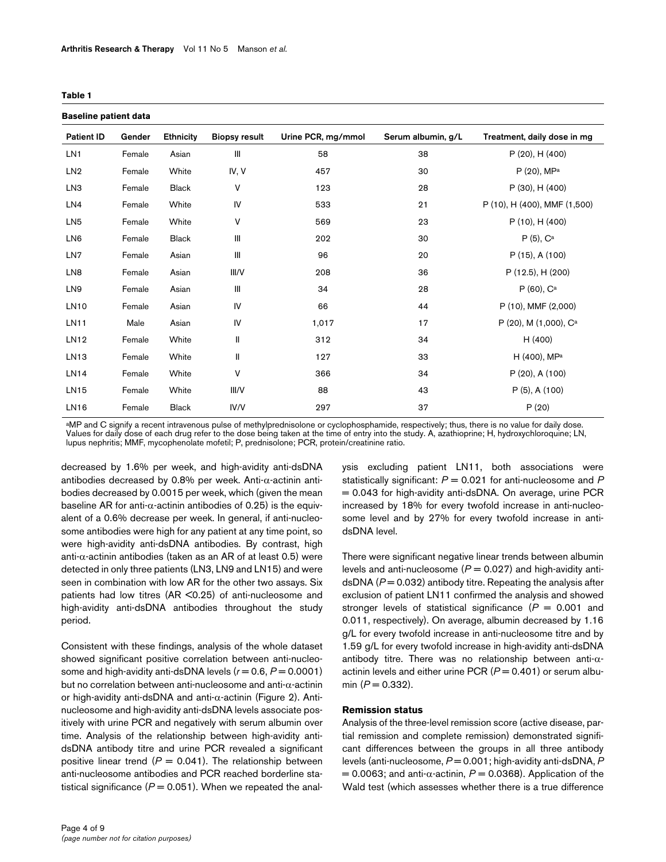#### **Table 1**

| <b>Baseline patient data</b> |        |                  |                      |                    |                    |                                   |
|------------------------------|--------|------------------|----------------------|--------------------|--------------------|-----------------------------------|
| <b>Patient ID</b>            | Gender | <b>Ethnicity</b> | <b>Biopsy result</b> | Urine PCR, mg/mmol | Serum albumin, g/L | Treatment, daily dose in mg       |
| LN <sub>1</sub>              | Female | Asian            | Ш                    | 58                 | 38                 | $P(20)$ , H $(400)$               |
| LN <sub>2</sub>              | Female | White            | IV, V                | 457                | 30                 | $P(20)$ , MPa                     |
| LN <sub>3</sub>              | Female | <b>Black</b>     | V                    | 123                | 28                 | P (30), H (400)                   |
| LN4                          | Female | White            | IV                   | 533                | 21                 | P (10), H (400), MMF (1,500)      |
| LN <sub>5</sub>              | Female | White            | V                    | 569                | 23                 | P (10), H (400)                   |
| LN <sub>6</sub>              | Female | <b>Black</b>     | $\mathbf{III}$       | 202                | 30                 | $P(5), C^a$                       |
| LN7                          | Female | Asian            | Ш                    | 96                 | 20                 | $P(15)$ , A $(100)$               |
| LN <sub>8</sub>              | Female | Asian            | III/V                | 208                | 36                 | P (12.5), H (200)                 |
| LN9                          | Female | Asian            | Ш                    | 34                 | 28                 | $P(60)$ , $C^a$                   |
| <b>LN10</b>                  | Female | Asian            | IV                   | 66                 | 44                 | P (10), MMF (2,000)               |
| <b>LN11</b>                  | Male   | Asian            | IV                   | 1,017              | 17                 | P (20), M (1,000), C <sup>a</sup> |
| LN12                         | Female | White            | $\mathsf{I}$         | 312                | 34                 | H (400)                           |
| LN13                         | Female | White            | Ш                    | 127                | 33                 | H (400), MPa                      |
| <b>LN14</b>                  | Female | White            | ٧                    | 366                | 34                 | $P(20)$ , A $(100)$               |
| <b>LN15</b>                  | Female | White            | III/V                | 88                 | 43                 | $P(5)$ , A $(100)$                |
| <b>LN16</b>                  | Female | <b>Black</b>     | IV/V                 | 297                | 37                 | P(20)                             |

aMP and C signify a recent intravenous pulse of methylprednisolone or cyclophosphamide, respectively; thus, there is no value for daily dose. Values for daily dose of each drug refer to the dose being taken at the time of entry into the study. A, azathioprine; H, hydroxychloroquine; LN, lupus nephritis; MMF, mycophenolate mofetil; P, prednisolone; PCR, protein/creatinine ratio.

decreased by 1.6% per week, and high-avidity anti-dsDNA antibodies decreased by 0.8% per week. Anti-α-actinin antibodies decreased by 0.0015 per week, which (given the mean baseline AR for anti- $\alpha$ -actinin antibodies of 0.25) is the equivalent of a 0.6% decrease per week. In general, if anti-nucleosome antibodies were high for any patient at any time point, so were high-avidity anti-dsDNA antibodies. By contrast, high anti- $\alpha$ -actinin antibodies (taken as an AR of at least 0.5) were detected in only three patients (LN3, LN9 and LN15) and were seen in combination with low AR for the other two assays. Six patients had low titres (AR <0.25) of anti-nucleosome and high-avidity anti-dsDNA antibodies throughout the study period.

Consistent with these findings, analysis of the whole dataset showed significant positive correlation between anti-nucleosome and high-avidity anti-dsDNA levels  $(r = 0.6, P = 0.0001)$ but no correlation between anti-nucleosome and anti-α-actinin or high-avidity anti-dsDNA and anti-α-actinin (Figure 2). Antinucleosome and high-avidity anti-dsDNA levels associate positively with urine PCR and negatively with serum albumin over time. Analysis of the relationship between high-avidity antidsDNA antibody titre and urine PCR revealed a significant positive linear trend  $(P = 0.041)$ . The relationship between anti-nucleosome antibodies and PCR reached borderline statistical significance  $(P = 0.051)$ . When we repeated the analysis excluding patient LN11, both associations were statistically significant: *P* = 0.021 for anti-nucleosome and *P* = 0.043 for high-avidity anti-dsDNA. On average, urine PCR increased by 18% for every twofold increase in anti-nucleosome level and by 27% for every twofold increase in antidsDNA level.

There were significant negative linear trends between albumin levels and anti-nucleosome ( $P = 0.027$ ) and high-avidity antidsDNA ( $P = 0.032$ ) antibody titre. Repeating the analysis after exclusion of patient LN11 confirmed the analysis and showed stronger levels of statistical significance (*P* = 0.001 and 0.011, respectively). On average, albumin decreased by 1.16 g/L for every twofold increase in anti-nucleosome titre and by 1.59 g/L for every twofold increase in high-avidity anti-dsDNA antibody titre. There was no relationship between anti-αactinin levels and either urine PCR  $(P = 0.401)$  or serum albumin  $(P = 0.332)$ .

#### **Remission status**

Analysis of the three-level remission score (active disease, partial remission and complete remission) demonstrated significant differences between the groups in all three antibody levels (anti-nucleosome,  $P = 0.001$ ; high-avidity anti-dsDNA, P  $= 0.0063$ ; and anti- $\alpha$ -actinin,  $P = 0.0368$ ). Application of the Wald test (which assesses whether there is a true difference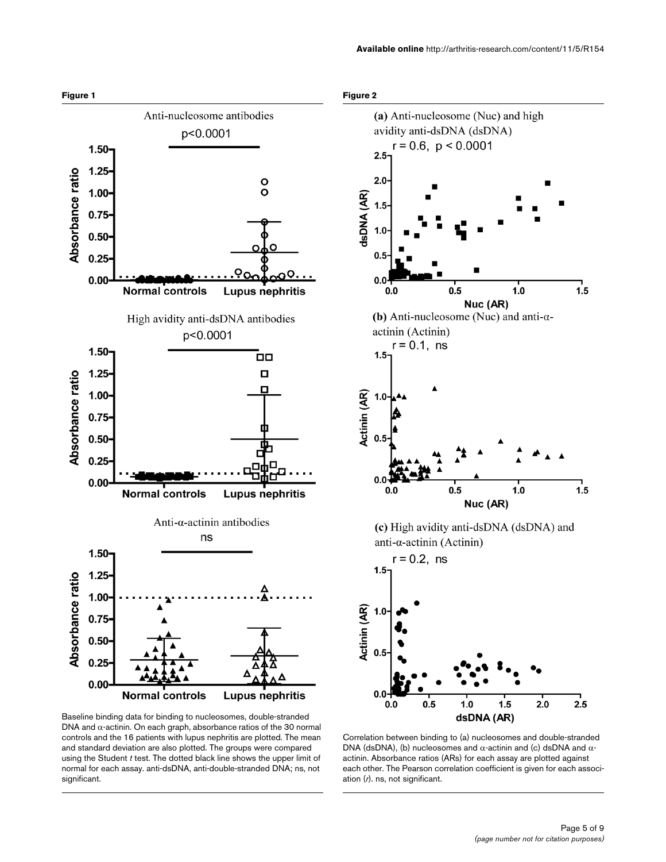

Baseline binding data for binding to nucleosomes, double-stranded DNA and  $α$ -actinin. On each graph, absorbance ratios of the 30 normal controls and the 16 patients with lupus nephritis are plotted. The mean and standard deviation are also plotted. The groups were compared using the Student *t* test. The dotted black line shows the upper limit of normal for each assay. anti-dsDNA, anti-double-stranded DNA; ns, not significant.





ation (*r*). ns, not significant.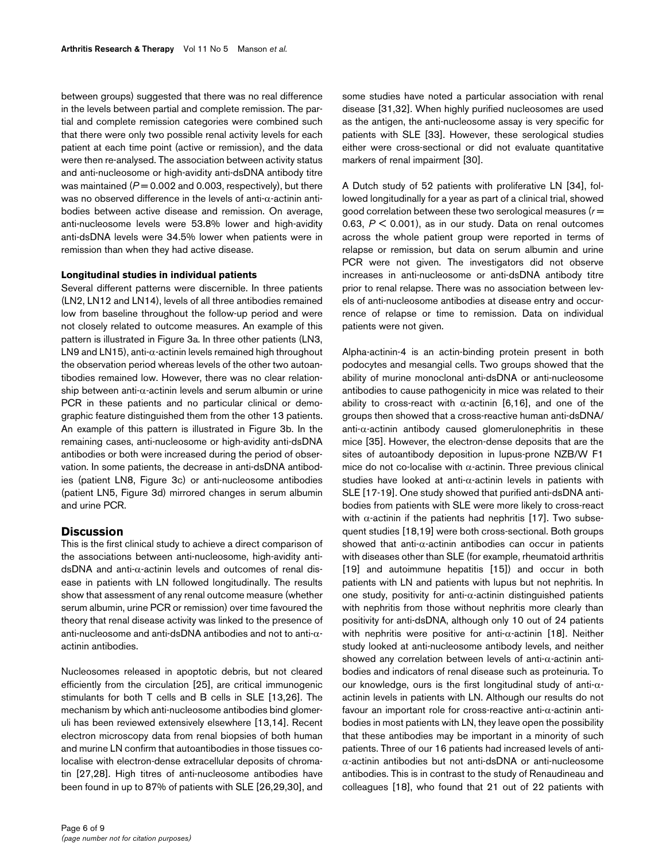between groups) suggested that there was no real difference in the levels between partial and complete remission. The partial and complete remission categories were combined such that there were only two possible renal activity levels for each patient at each time point (active or remission), and the data were then re-analysed. The association between activity status and anti-nucleosome or high-avidity anti-dsDNA antibody titre was maintained  $(P = 0.002$  and 0.003, respectively), but there was no observed difference in the levels of anti-α-actinin antibodies between active disease and remission. On average, anti-nucleosome levels were 53.8% lower and high-avidity anti-dsDNA levels were 34.5% lower when patients were in remission than when they had active disease.

#### **Longitudinal studies in individual patients**

Several different patterns were discernible. In three patients (LN2, LN12 and LN14), levels of all three antibodies remained low from baseline throughout the follow-up period and were not closely related to outcome measures. An example of this pattern is illustrated in Figure 3a. In three other patients (LN3, LN9 and LN15), anti- $\alpha$ -actinin levels remained high throughout the observation period whereas levels of the other two autoantibodies remained low. However, there was no clear relationship between anti- $\alpha$ -actinin levels and serum albumin or urine PCR in these patients and no particular clinical or demographic feature distinguished them from the other 13 patients. An example of this pattern is illustrated in Figure 3b. In the remaining cases, anti-nucleosome or high-avidity anti-dsDNA antibodies or both were increased during the period of observation. In some patients, the decrease in anti-dsDNA antibodies (patient LN8, Figure 3c) or anti-nucleosome antibodies (patient LN5, Figure 3d) mirrored changes in serum albumin and urine PCR.

#### **Discussion**

This is the first clinical study to achieve a direct comparison of the associations between anti-nucleosome, high-avidity antidsDNA and anti-α-actinin levels and outcomes of renal disease in patients with LN followed longitudinally. The results show that assessment of any renal outcome measure (whether serum albumin, urine PCR or remission) over time favoured the theory that renal disease activity was linked to the presence of anti-nucleosome and anti-dsDNA antibodies and not to anti-αactinin antibodies.

Nucleosomes released in apoptotic debris, but not cleared efficiently from the circulation [25], are critical immunogenic stimulants for both T cells and B cells in SLE [13,26]. The mechanism by which anti-nucleosome antibodies bind glomeruli has been reviewed extensively elsewhere [13,14]. Recent electron microscopy data from renal biopsies of both human and murine LN confirm that autoantibodies in those tissues colocalise with electron-dense extracellular deposits of chromatin [27,28]. High titres of anti-nucleosome antibodies have been found in up to 87% of patients with SLE [26,29,30], and some studies have noted a particular association with renal disease [31,32]. When highly purified nucleosomes are used as the antigen, the anti-nucleosome assay is very specific for patients with SLE [33]. However, these serological studies either were cross-sectional or did not evaluate quantitative markers of renal impairment [30].

A Dutch study of 52 patients with proliferative LN [34], followed longitudinally for a year as part of a clinical trial, showed good correlation between these two serological measures (*r* = 0.63, *P* < 0.001), as in our study. Data on renal outcomes across the whole patient group were reported in terms of relapse or remission, but data on serum albumin and urine PCR were not given. The investigators did not observe increases in anti-nucleosome or anti-dsDNA antibody titre prior to renal relapse. There was no association between levels of anti-nucleosome antibodies at disease entry and occurrence of relapse or time to remission. Data on individual patients were not given.

Alpha-actinin-4 is an actin-binding protein present in both podocytes and mesangial cells. Two groups showed that the ability of murine monoclonal anti-dsDNA or anti-nucleosome antibodies to cause pathogenicity in mice was related to their ability to cross-react with  $\alpha$ -actinin [6,16], and one of the groups then showed that a cross-reactive human anti-dsDNA/ anti-α-actinin antibody caused glomerulonephritis in these mice [35]. However, the electron-dense deposits that are the sites of autoantibody deposition in lupus-prone NZB/W F1 mice do not co-localise with  $α$ -actinin. Three previous clinical studies have looked at anti-α-actinin levels in patients with SLE [17-19]. One study showed that purified anti-dsDNA antibodies from patients with SLE were more likely to cross-react with  $\alpha$ -actinin if the patients had nephritis [17]. Two subsequent studies [18,19] were both cross-sectional. Both groups showed that anti- $\alpha$ -actinin antibodies can occur in patients with diseases other than SLE (for example, rheumatoid arthritis [19] and autoimmune hepatitis [15]) and occur in both patients with LN and patients with lupus but not nephritis. In one study, positivity for anti-α-actinin distinguished patients with nephritis from those without nephritis more clearly than positivity for anti-dsDNA, although only 10 out of 24 patients with nephritis were positive for anti- $\alpha$ -actinin [18]. Neither study looked at anti-nucleosome antibody levels, and neither showed any correlation between levels of anti-α-actinin antibodies and indicators of renal disease such as proteinuria. To our knowledge, ours is the first longitudinal study of anti-αactinin levels in patients with LN. Although our results do not favour an important role for cross-reactive anti-α-actinin antibodies in most patients with LN, they leave open the possibility that these antibodies may be important in a minority of such patients. Three of our 16 patients had increased levels of antiα-actinin antibodies but not anti-dsDNA or anti-nucleosome antibodies. This is in contrast to the study of Renaudineau and colleagues [18], who found that 21 out of 22 patients with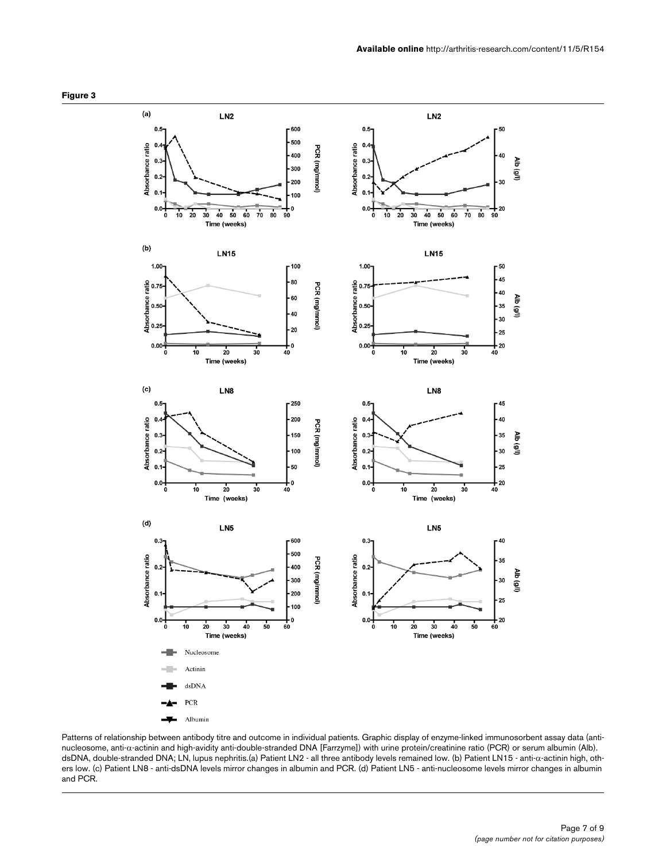

Patterns of relationship between antibody titre and outcome in individual patients. Graphic display of enzyme-linked immunosorbent assay data (antinucleosome, anti-α-actinin and high-avidity anti-double-stranded DNA [Farrzyme]) with urine protein/creatinine ratio (PCR) or serum albumin (Alb). dsDNA, double-stranded DNA; LN, lupus nephritis.(a) Patient LN2 - all three antibody levels remained low. (b) Patient LN15 - anti-α-actinin high, others low. (c) Patient LN8 - anti-dsDNA levels mirror changes in albumin and PCR. (d) Patient LN5 - anti-nucleosome levels mirror changes in albumin and PCR.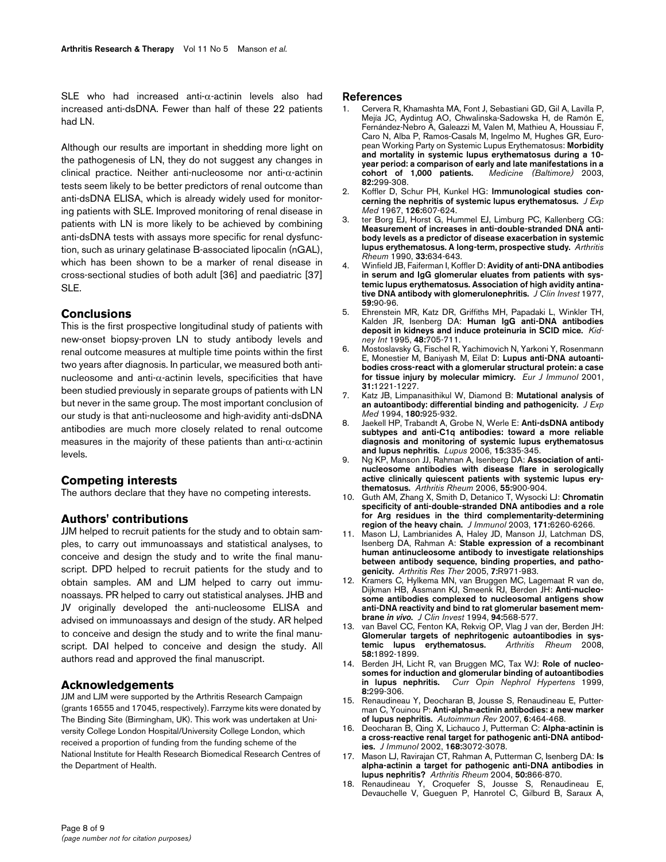SLE who had increased anti-α-actinin levels also had increased anti-dsDNA. Fewer than half of these 22 patients had LN.

Although our results are important in shedding more light on the pathogenesis of LN, they do not suggest any changes in clinical practice. Neither anti-nucleosome nor anti-α-actinin tests seem likely to be better predictors of renal outcome than anti-dsDNA ELISA, which is already widely used for monitoring patients with SLE. Improved monitoring of renal disease in patients with LN is more likely to be achieved by combining anti-dsDNA tests with assays more specific for renal dysfunction, such as urinary gelatinase B-associated lipocalin (nGAL), which has been shown to be a marker of renal disease in cross-sectional studies of both adult [36] and paediatric [37] SLE.

## **Conclusions**

This is the first prospective longitudinal study of patients with new-onset biopsy-proven LN to study antibody levels and renal outcome measures at multiple time points within the first two years after diagnosis. In particular, we measured both antinucleosome and anti-α-actinin levels, specificities that have been studied previously in separate groups of patients with LN but never in the same group. The most important conclusion of our study is that anti-nucleosome and high-avidity anti-dsDNA antibodies are much more closely related to renal outcome measures in the majority of these patients than anti-α-actinin levels.

## **Competing interests**

The authors declare that they have no competing interests.

## **Authors' contributions**

JJM helped to recruit patients for the study and to obtain samples, to carry out immunoassays and statistical analyses, to conceive and design the study and to write the final manuscript. DPD helped to recruit patients for the study and to obtain samples. AM and LJM helped to carry out immunoassays. PR helped to carry out statistical analyses. JHB and JV originally developed the anti-nucleosome ELISA and advised on immunoassays and design of the study. AR helped to conceive and design the study and to write the final manuscript. DAI helped to conceive and design the study. All authors read and approved the final manuscript.

## **Acknowledgements**

JJM and LJM were supported by the Arthritis Research Campaign (grants 16555 and 17045, respectively). Farrzyme kits were donated by The Binding Site (Birmingham, UK). This work was undertaken at University College London Hospital/University College London, which received a proportion of funding from the funding scheme of the National Institute for Health Research Biomedical Research Centres of the Department of Health.

#### **References**

- 1. Cervera R, Khamashta MA, Font J, Sebastiani GD, Gil A, Lavilla P, Mejía JC, Aydintug AO, Chwalinska-Sadowska H, de Ramón E, Fernández-Nebro A, Galeazzi M, Valen M, Mathieu A, Houssiau F, Caro N, Alba P, Ramos-Casals M, Ingelmo M, Hughes GR, European Working Party on Systemic Lupus Erythematosus: **[Morbidity](http://www.ncbi.nlm.nih.gov/entrez/query.fcgi?cmd=Retrieve&db=PubMed&dopt=Abstract&list_uids=14530779) [and mortality in systemic lupus erythematosus during a 10](http://www.ncbi.nlm.nih.gov/entrez/query.fcgi?cmd=Retrieve&db=PubMed&dopt=Abstract&list_uids=14530779) year period: a comparison of early and late manifestations in a [cohort of 1,000 patients.](http://www.ncbi.nlm.nih.gov/entrez/query.fcgi?cmd=Retrieve&db=PubMed&dopt=Abstract&list_uids=14530779)** *Medicine (Baltimore)* 2003, **82:**299-308.
- 2. Koffler D, Schur PH, Kunkel HG: **[Immunological studies con](http://www.ncbi.nlm.nih.gov/entrez/query.fcgi?cmd=Retrieve&db=PubMed&dopt=Abstract&list_uids=4168098)[cerning the nephritis of systemic lupus erythematosus.](http://www.ncbi.nlm.nih.gov/entrez/query.fcgi?cmd=Retrieve&db=PubMed&dopt=Abstract&list_uids=4168098)** *J Exp Med* 1967, **126:**607-624.
- 3. ter Borg EJ, Horst G, Hummel EJ, Limburg PC, Kallenberg CG: **[Measurement of increases in anti-double-stranded DNA anti](http://www.ncbi.nlm.nih.gov/entrez/query.fcgi?cmd=Retrieve&db=PubMed&dopt=Abstract&list_uids=2346519)body levels as a predictor of disease exacerbation in systemic [lupus erythematosus. A long-term, prospective study.](http://www.ncbi.nlm.nih.gov/entrez/query.fcgi?cmd=Retrieve&db=PubMed&dopt=Abstract&list_uids=2346519)** *Arthritis Rheum* 1990, **33:**634-643.
- 4. Winfield JB, Faiferman I, Koffler D: **[Avidity of anti-DNA antibodies](http://www.ncbi.nlm.nih.gov/entrez/query.fcgi?cmd=Retrieve&db=PubMed&dopt=Abstract&list_uids=299748) [in serum and IgG glomerular eluates from patients with sys](http://www.ncbi.nlm.nih.gov/entrez/query.fcgi?cmd=Retrieve&db=PubMed&dopt=Abstract&list_uids=299748)temic lupus erythematosus. Association of high avidity antina[tive DNA antibody with glomerulonephritis.](http://www.ncbi.nlm.nih.gov/entrez/query.fcgi?cmd=Retrieve&db=PubMed&dopt=Abstract&list_uids=299748)** *J Clin Invest* 1977, **59:**90-96.
- 5. Ehrenstein MR, Katz DR, Griffiths MH, Papadaki L, Winkler TH, Kalden JR, Isenberg DA: **[Human IgG anti-DNA antibodies](http://www.ncbi.nlm.nih.gov/entrez/query.fcgi?cmd=Retrieve&db=PubMed&dopt=Abstract&list_uids=7474655) [deposit in kidneys and induce proteinuria in SCID mice.](http://www.ncbi.nlm.nih.gov/entrez/query.fcgi?cmd=Retrieve&db=PubMed&dopt=Abstract&list_uids=7474655)** *Kidney Int* 1995, **48:**705-711.
- 6. Mostoslavsky G, Fischel R, Yachimovich N, Yarkoni Y, Rosenmann E, Monestier M, Baniyash M, Eilat D: **[Lupus anti-DNA autoanti](http://www.ncbi.nlm.nih.gov/entrez/query.fcgi?cmd=Retrieve&db=PubMed&dopt=Abstract&list_uids=11298348)[bodies cross-react with a glomerular structural protein: a case](http://www.ncbi.nlm.nih.gov/entrez/query.fcgi?cmd=Retrieve&db=PubMed&dopt=Abstract&list_uids=11298348) [for tissue injury by molecular mimicry.](http://www.ncbi.nlm.nih.gov/entrez/query.fcgi?cmd=Retrieve&db=PubMed&dopt=Abstract&list_uids=11298348)** *Eur J Immunol* 2001, **31:**1221-1227.
- 7. Katz JB, Limpanasithikul W, Diamond B: **[Mutational analysis of](http://www.ncbi.nlm.nih.gov/entrez/query.fcgi?cmd=Retrieve&db=PubMed&dopt=Abstract&list_uids=8064241) [an autoantibody: differential binding and pathogenicity.](http://www.ncbi.nlm.nih.gov/entrez/query.fcgi?cmd=Retrieve&db=PubMed&dopt=Abstract&list_uids=8064241)** *J Exp Med* 1994, **180:**925-932.
- 8. Jaekell HP, Trabandt A, Grobe N, Werle E: **[Anti-dsDNA antibody](http://www.ncbi.nlm.nih.gov/entrez/query.fcgi?cmd=Retrieve&db=PubMed&dopt=Abstract&list_uids=16830879) [subtypes and anti-C1q antibodies: toward a more reliable](http://www.ncbi.nlm.nih.gov/entrez/query.fcgi?cmd=Retrieve&db=PubMed&dopt=Abstract&list_uids=16830879) diagnosis and monitoring of systemic lupus erythematosus [and lupus nephritis.](http://www.ncbi.nlm.nih.gov/entrez/query.fcgi?cmd=Retrieve&db=PubMed&dopt=Abstract&list_uids=16830879)** *Lupus* 2006, **15:**335-345.
- 9. Ng KP, Manson JJ, Rahman A, Isenberg DA: **[Association of anti](http://www.ncbi.nlm.nih.gov/entrez/query.fcgi?cmd=Retrieve&db=PubMed&dopt=Abstract&list_uids=17139667)[nucleosome antibodies with disease flare in serologically](http://www.ncbi.nlm.nih.gov/entrez/query.fcgi?cmd=Retrieve&db=PubMed&dopt=Abstract&list_uids=17139667) active clinically quiescent patients with systemic lupus ery[thematosus.](http://www.ncbi.nlm.nih.gov/entrez/query.fcgi?cmd=Retrieve&db=PubMed&dopt=Abstract&list_uids=17139667)** *Arthritis Rheum* 2006, **55:**900-904.
- 10. Guth AM, Zhang X, Smith D, Detanico T, Wysocki LJ: **[Chromatin](http://www.ncbi.nlm.nih.gov/entrez/query.fcgi?cmd=Retrieve&db=PubMed&dopt=Abstract&list_uids=14634143) [specificity of anti-double-stranded DNA antibodies and a role](http://www.ncbi.nlm.nih.gov/entrez/query.fcgi?cmd=Retrieve&db=PubMed&dopt=Abstract&list_uids=14634143) for Arg residues in the third complementarity-determining [region of the heavy chain.](http://www.ncbi.nlm.nih.gov/entrez/query.fcgi?cmd=Retrieve&db=PubMed&dopt=Abstract&list_uids=14634143)** *J Immunol* 2003, **171:**6260-6266.
- 11. Mason LJ, Lambrianides A, Haley JD, Manson JJ, Latchman DS, Isenberg DA, Rahman A: **[Stable expression of a recombinant](http://www.ncbi.nlm.nih.gov/entrez/query.fcgi?cmd=Retrieve&db=PubMed&dopt=Abstract&list_uids=16207338) [human antinucleosome antibody to investigate relationships](http://www.ncbi.nlm.nih.gov/entrez/query.fcgi?cmd=Retrieve&db=PubMed&dopt=Abstract&list_uids=16207338) between antibody sequence, binding properties, and patho[genicity.](http://www.ncbi.nlm.nih.gov/entrez/query.fcgi?cmd=Retrieve&db=PubMed&dopt=Abstract&list_uids=16207338)** *Arthritis Res Ther* 2005, **7:**R971-983.
- 12. Kramers C, Hylkema MN, van Bruggen MC, Lagemaat R van de, Dijkman HB, Assmann KJ, Smeenk RJ, Berden JH: **Anti-nucleosome antibodies complexed to nucleosomal antigens show anti-DNA reactivity and bind to rat glomerular basement membrane** *in vivo***[.](http://www.ncbi.nlm.nih.gov/entrez/query.fcgi?cmd=Retrieve&db=PubMed&dopt=Abstract&list_uids=8040312)** *J Clin Invest* 1994, **94:**568-577.
- 13. van Bavel CC, Fenton KA, Rekvig OP, Vlag J van der, Berden JH: **[Glomerular targets of nephritogenic autoantibodies in sys](http://www.ncbi.nlm.nih.gov/entrez/query.fcgi?cmd=Retrieve&db=PubMed&dopt=Abstract&list_uids=18576314)[temic lupus erythematosus.](http://www.ncbi.nlm.nih.gov/entrez/query.fcgi?cmd=Retrieve&db=PubMed&dopt=Abstract&list_uids=18576314)** *Arthritis Rheum* 2008, **58:**1892-1899.
- 14. Berden JH, Licht R, van Bruggen MC, Tax WJ: **[Role of nucleo](http://www.ncbi.nlm.nih.gov/entrez/query.fcgi?cmd=Retrieve&db=PubMed&dopt=Abstract&list_uids=10456260)[somes for induction and glomerular binding of autoantibodies](http://www.ncbi.nlm.nih.gov/entrez/query.fcgi?cmd=Retrieve&db=PubMed&dopt=Abstract&list_uids=10456260) [in lupus nephritis.](http://www.ncbi.nlm.nih.gov/entrez/query.fcgi?cmd=Retrieve&db=PubMed&dopt=Abstract&list_uids=10456260)** *Curr Opin Nephrol Hypertens* 1999, **8:**299-306.
- 15. Renaudineau Y, Deocharan B, Jousse S, Renaudineau E, Putterman C, Youinou P: **[Anti-alpha-actinin antibodies: a new marker](http://www.ncbi.nlm.nih.gov/entrez/query.fcgi?cmd=Retrieve&db=PubMed&dopt=Abstract&list_uids=17643934) [of lupus nephritis.](http://www.ncbi.nlm.nih.gov/entrez/query.fcgi?cmd=Retrieve&db=PubMed&dopt=Abstract&list_uids=17643934)** *Autoimmun Rev* 2007, **6:**464-468.
- 16. Deocharan B, Qing X, Lichauco J, Putterman C: **[Alpha-actinin is](http://www.ncbi.nlm.nih.gov/entrez/query.fcgi?cmd=Retrieve&db=PubMed&dopt=Abstract&list_uids=11884481) [a cross-reactive renal target for pathogenic anti-DNA antibod](http://www.ncbi.nlm.nih.gov/entrez/query.fcgi?cmd=Retrieve&db=PubMed&dopt=Abstract&list_uids=11884481)[ies.](http://www.ncbi.nlm.nih.gov/entrez/query.fcgi?cmd=Retrieve&db=PubMed&dopt=Abstract&list_uids=11884481)** *J Immunol* 2002, **168:**3072-3078.
- 17. Mason LJ, Ravirajan CT, Rahman A, Putterman C, Isenberg DA: **[Is](http://www.ncbi.nlm.nih.gov/entrez/query.fcgi?cmd=Retrieve&db=PubMed&dopt=Abstract&list_uids=15022329) [alpha-actinin a target for pathogenic anti-DNA antibodies in](http://www.ncbi.nlm.nih.gov/entrez/query.fcgi?cmd=Retrieve&db=PubMed&dopt=Abstract&list_uids=15022329) [lupus nephritis?](http://www.ncbi.nlm.nih.gov/entrez/query.fcgi?cmd=Retrieve&db=PubMed&dopt=Abstract&list_uids=15022329)** *Arthritis Rheum* 2004, **50:**866-870.
- 18. Renaudineau Y, Croquefer S, Jousse S, Renaudineau E, Devauchelle V, Gueguen P, Hanrotel C, Gilburd B, Saraux A,